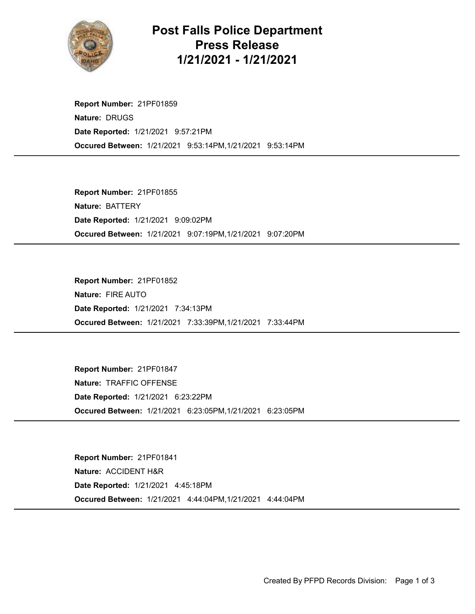

## Post Falls Police Department Press Release 1/21/2021 - 1/21/2021

Occured Between: 1/21/2021 9:53:14PM,1/21/2021 9:53:14PM Report Number: 21PF01859 Nature: DRUGS Date Reported: 1/21/2021 9:57:21PM

Occured Between: 1/21/2021 9:07:19PM,1/21/2021 9:07:20PM Report Number: 21PF01855 Nature: BATTERY Date Reported: 1/21/2021 9:09:02PM

Occured Between: 1/21/2021 7:33:39PM,1/21/2021 7:33:44PM Report Number: 21PF01852 Nature: FIRE AUTO Date Reported: 1/21/2021 7:34:13PM

Occured Between: 1/21/2021 6:23:05PM,1/21/2021 6:23:05PM Report Number: 21PF01847 Nature: TRAFFIC OFFENSE Date Reported: 1/21/2021 6:23:22PM

Occured Between: 1/21/2021 4:44:04PM,1/21/2021 4:44:04PM Report Number: 21PF01841 Nature: ACCIDENT H&R Date Reported: 1/21/2021 4:45:18PM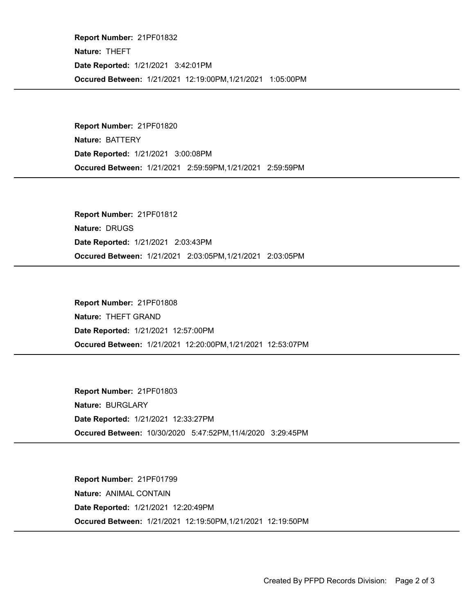Occured Between: 1/21/2021 12:19:00PM,1/21/2021 1:05:00PM Report Number: 21PF01832 Nature: THEFT Date Reported: 1/21/2021 3:42:01PM

Occured Between: 1/21/2021 2:59:59PM,1/21/2021 2:59:59PM Report Number: 21PF01820 Nature: BATTERY Date Reported: 1/21/2021 3:00:08PM

Occured Between: 1/21/2021 2:03:05PM,1/21/2021 2:03:05PM Report Number: 21PF01812 Nature: DRUGS Date Reported: 1/21/2021 2:03:43PM

Occured Between: 1/21/2021 12:20:00PM,1/21/2021 12:53:07PM Report Number: 21PF01808 Nature: THEFT GRAND Date Reported: 1/21/2021 12:57:00PM

Occured Between: 10/30/2020 5:47:52PM,11/4/2020 3:29:45PM Report Number: 21PF01803 Nature: BURGLARY Date Reported: 1/21/2021 12:33:27PM

Occured Between: 1/21/2021 12:19:50PM,1/21/2021 12:19:50PM Report Number: 21PF01799 Nature: ANIMAL CONTAIN Date Reported: 1/21/2021 12:20:49PM